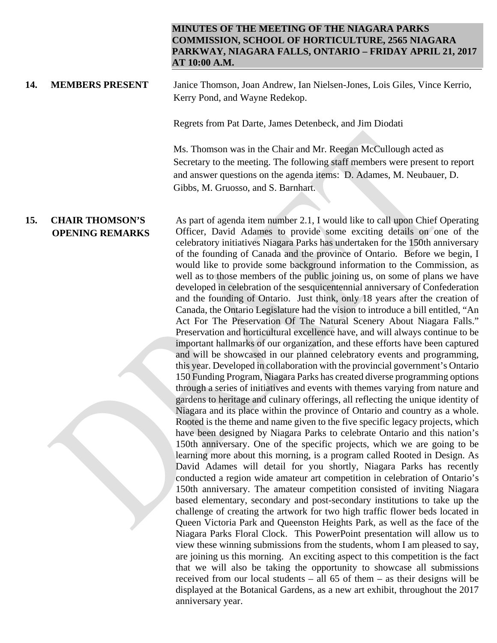## **MINUTES OF THE MEETING OF THE NIAGARA PARKS COMMISSION, SCHOOL OF HORTICULTURE, 2565 NIAGARA PARKWAY, NIAGARA FALLS, ONTARIO – FRIDAY APRIL 21, 2017 AT 10:00 A.M.**

## **14. MEMBERS PRESENT** Janice Thomson, Joan Andrew, Ian Nielsen-Jones, Lois Giles, Vince Kerrio, Kerry Pond, and Wayne Redekop.

Regrets from Pat Darte, James Detenbeck, and Jim Diodati

Ms. Thomson was in the Chair and Mr. Reegan McCullough acted as Secretary to the meeting. The following staff members were present to report and answer questions on the agenda items: D. Adames, M. Neubauer, D. Gibbs, M. Gruosso, and S. Barnhart.

 **OPENING REMARKS** As part of agenda item number 2.1, I would like to call upon Chief Operating Officer, David Adames to provide some exciting details on one of the celebratory initiatives Niagara Parks has undertaken for the 150th anniversary of the founding of Canada and the province of Ontario. Before we begin, I would like to provide some background information to the Commission, as well as to those members of the public joining us, on some of plans we have developed in celebration of the sesquicentennial anniversary of Confederation and the founding of Ontario. Just think, only 18 years after the creation of Canada, the Ontario Legislature had the vision to introduce a bill entitled, "An Act For The Preservation Of The Natural Scenery About Niagara Falls." Preservation and horticultural excellence have, and will always continue to be important hallmarks of our organization, and these efforts have been captured and will be showcased in our planned celebratory events and programming, this year. Developed in collaboration with the provincial government's Ontario 150 Funding Program, Niagara Parks has created diverse programming options through a series of initiatives and events with themes varying from nature and gardens to heritage and culinary offerings, all reflecting the unique identity of Niagara and its place within the province of Ontario and country as a whole. Rooted is the theme and name given to the five specific legacy projects, which have been designed by Niagara Parks to celebrate Ontario and this nation's 150th anniversary. One of the specific projects, which we are going to be learning more about this morning, is a program called Rooted in Design. As David Adames will detail for you shortly, Niagara Parks has recently conducted a region wide amateur art competition in celebration of Ontario's 150th anniversary. The amateur competition consisted of inviting Niagara based elementary, secondary and post-secondary institutions to take up the challenge of creating the artwork for two high traffic flower beds located in Queen Victoria Park and Queenston Heights Park, as well as the face of the Niagara Parks Floral Clock. This PowerPoint presentation will allow us to view these winning submissions from the students, whom I am pleased to say, are joining us this morning. An exciting aspect to this competition is the fact that we will also be taking the opportunity to showcase all submissions received from our local students – all 65 of them – as their designs will be displayed at the Botanical Gardens, as a new art exhibit, throughout the 2017 anniversary year.

## **15. CHAIR THOMSON'S**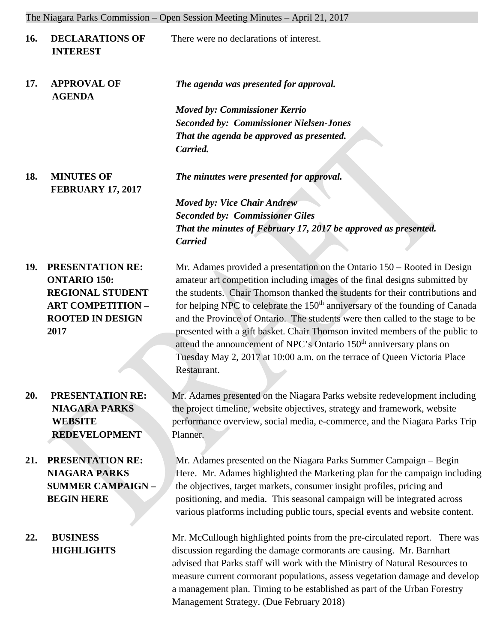The Niagara Parks Commission – Open Session Meeting Minutes – April 21, 2017

| <b>16.</b> | <b>DECLARATIONS OF</b><br><b>INTEREST</b>                                                                                                                                                   | There were no declarations of interest.                                                                                                                                                                                                                                                                                                                                                                                                                                                                                                                                                                                                                                                                                                                                                                                                     |
|------------|---------------------------------------------------------------------------------------------------------------------------------------------------------------------------------------------|---------------------------------------------------------------------------------------------------------------------------------------------------------------------------------------------------------------------------------------------------------------------------------------------------------------------------------------------------------------------------------------------------------------------------------------------------------------------------------------------------------------------------------------------------------------------------------------------------------------------------------------------------------------------------------------------------------------------------------------------------------------------------------------------------------------------------------------------|
| 17.        | <b>APPROVAL OF</b><br><b>AGENDA</b>                                                                                                                                                         | The agenda was presented for approval.                                                                                                                                                                                                                                                                                                                                                                                                                                                                                                                                                                                                                                                                                                                                                                                                      |
|            |                                                                                                                                                                                             | <b>Moved by: Commissioner Kerrio</b>                                                                                                                                                                                                                                                                                                                                                                                                                                                                                                                                                                                                                                                                                                                                                                                                        |
|            |                                                                                                                                                                                             | <b>Seconded by: Commissioner Nielsen-Jones</b>                                                                                                                                                                                                                                                                                                                                                                                                                                                                                                                                                                                                                                                                                                                                                                                              |
|            |                                                                                                                                                                                             | That the agenda be approved as presented.                                                                                                                                                                                                                                                                                                                                                                                                                                                                                                                                                                                                                                                                                                                                                                                                   |
|            |                                                                                                                                                                                             | Carried.                                                                                                                                                                                                                                                                                                                                                                                                                                                                                                                                                                                                                                                                                                                                                                                                                                    |
| 18.        | <b>MINUTES OF</b><br><b>FEBRUARY 17, 2017</b>                                                                                                                                               | The minutes were presented for approval.                                                                                                                                                                                                                                                                                                                                                                                                                                                                                                                                                                                                                                                                                                                                                                                                    |
|            |                                                                                                                                                                                             | <b>Moved by: Vice Chair Andrew</b>                                                                                                                                                                                                                                                                                                                                                                                                                                                                                                                                                                                                                                                                                                                                                                                                          |
|            |                                                                                                                                                                                             | <b>Seconded by: Commissioner Giles</b>                                                                                                                                                                                                                                                                                                                                                                                                                                                                                                                                                                                                                                                                                                                                                                                                      |
|            |                                                                                                                                                                                             | That the minutes of February 17, 2017 be approved as presented.                                                                                                                                                                                                                                                                                                                                                                                                                                                                                                                                                                                                                                                                                                                                                                             |
|            |                                                                                                                                                                                             | <b>Carried</b>                                                                                                                                                                                                                                                                                                                                                                                                                                                                                                                                                                                                                                                                                                                                                                                                                              |
| 19.<br>20. | <b>PRESENTATION RE:</b><br><b>ONTARIO 150:</b><br><b>REGIONAL STUDENT</b><br><b>ART COMPETITION -</b><br><b>ROOTED IN DESIGN</b><br>2017<br><b>PRESENTATION RE:</b><br><b>NIAGARA PARKS</b> | Mr. Adames provided a presentation on the Ontario 150 – Rooted in Design<br>amateur art competition including images of the final designs submitted by<br>the students. Chair Thomson thanked the students for their contributions and<br>for helping NPC to celebrate the 150 <sup>th</sup> anniversary of the founding of Canada<br>and the Province of Ontario. The students were then called to the stage to be<br>presented with a gift basket. Chair Thomson invited members of the public to<br>attend the announcement of NPC's Ontario 150 <sup>th</sup> anniversary plans on<br>Tuesday May 2, 2017 at 10:00 a.m. on the terrace of Queen Victoria Place<br>Restaurant.<br>Mr. Adames presented on the Niagara Parks website redevelopment including<br>the project timeline, website objectives, strategy and framework, website |
|            | <b>WEBSITE</b><br><b>REDEVELOPMENT</b>                                                                                                                                                      | performance overview, social media, e-commerce, and the Niagara Parks Trip<br>Planner.                                                                                                                                                                                                                                                                                                                                                                                                                                                                                                                                                                                                                                                                                                                                                      |
| 21.        | PRESENTATION RE:<br><b>NIAGARA PARKS</b><br><b>SUMMER CAMPAIGN -</b><br><b>BEGIN HERE</b>                                                                                                   | Mr. Adames presented on the Niagara Parks Summer Campaign - Begin<br>Here. Mr. Adames highlighted the Marketing plan for the campaign including<br>the objectives, target markets, consumer insight profiles, pricing and<br>positioning, and media. This seasonal campaign will be integrated across<br>various platforms including public tours, special events and website content.                                                                                                                                                                                                                                                                                                                                                                                                                                                      |
| 22.        | <b>BUSINESS</b><br><b>HIGHLIGHTS</b>                                                                                                                                                        | Mr. McCullough highlighted points from the pre-circulated report. There was<br>discussion regarding the damage cormorants are causing. Mr. Barnhart<br>advised that Parks staff will work with the Ministry of Natural Resources to<br>measure current cormorant populations, assess vegetation damage and develop<br>a management plan. Timing to be established as part of the Urban Forestry<br>Management Strategy. (Due February 2018)                                                                                                                                                                                                                                                                                                                                                                                                 |